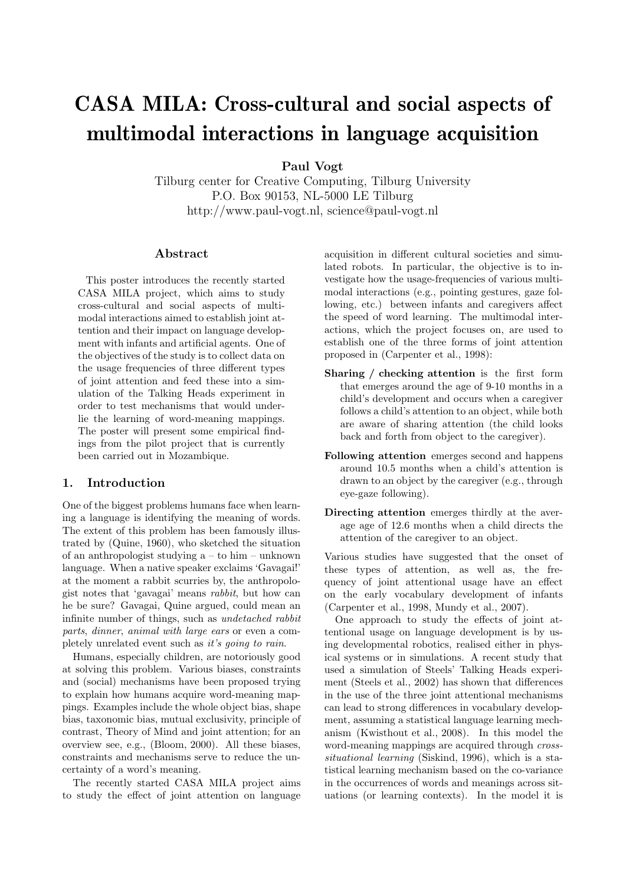# CASA MILA: Cross-cultural and social aspects of multimodal interactions in language acquisition

Paul Vogt

Tilburg center for Creative Computing, Tilburg University P.O. Box 90153, NL-5000 LE Tilburg http://www.paul-vogt.nl, science@paul-vogt.nl

### Abstract

This poster introduces the recently started CASA MILA project, which aims to study cross-cultural and social aspects of multimodal interactions aimed to establish joint attention and their impact on language development with infants and artificial agents. One of the objectives of the study is to collect data on the usage frequencies of three different types of joint attention and feed these into a simulation of the Talking Heads experiment in order to test mechanisms that would underlie the learning of word-meaning mappings. The poster will present some empirical findings from the pilot project that is currently been carried out in Mozambique.

## 1. Introduction

One of the biggest problems humans face when learning a language is identifying the meaning of words. The extent of this problem has been famously illustrated by (Quine, 1960), who sketched the situation of an anthropologist studying a – to him – unknown language. When a native speaker exclaims 'Gavagai!' at the moment a rabbit scurries by, the anthropologist notes that 'gavagai' means rabbit, but how can he be sure? Gavagai, Quine argued, could mean an infinite number of things, such as undetached rabbit parts, dinner, animal with large ears or even a completely unrelated event such as it's going to rain.

Humans, especially children, are notoriously good at solving this problem. Various biases, constraints and (social) mechanisms have been proposed trying to explain how humans acquire word-meaning mappings. Examples include the whole object bias, shape bias, taxonomic bias, mutual exclusivity, principle of contrast, Theory of Mind and joint attention; for an overview see, e.g., (Bloom, 2000). All these biases, constraints and mechanisms serve to reduce the uncertainty of a word's meaning.

The recently started CASA MILA project aims to study the effect of joint attention on language

acquisition in different cultural societies and simulated robots. In particular, the objective is to investigate how the usage-frequencies of various multimodal interactions (e.g., pointing gestures, gaze following, etc.) between infants and caregivers affect the speed of word learning. The multimodal interactions, which the project focuses on, are used to establish one of the three forms of joint attention proposed in (Carpenter et al., 1998):

- Sharing / checking attention is the first form that emerges around the age of 9-10 months in a child's development and occurs when a caregiver follows a child's attention to an object, while both are aware of sharing attention (the child looks back and forth from object to the caregiver).
- Following attention emerges second and happens around 10.5 months when a child's attention is drawn to an object by the caregiver (e.g., through eye-gaze following).
- Directing attention emerges thirdly at the average age of 12.6 months when a child directs the attention of the caregiver to an object.

Various studies have suggested that the onset of these types of attention, as well as, the frequency of joint attentional usage have an effect on the early vocabulary development of infants (Carpenter et al., 1998, Mundy et al., 2007).

One approach to study the effects of joint attentional usage on language development is by using developmental robotics, realised either in physical systems or in simulations. A recent study that used a simulation of Steels' Talking Heads experiment (Steels et al., 2002) has shown that differences in the use of the three joint attentional mechanisms can lead to strong differences in vocabulary development, assuming a statistical language learning mechanism (Kwisthout et al., 2008). In this model the word-meaning mappings are acquired through crosssituational learning (Siskind, 1996), which is a statistical learning mechanism based on the co-variance in the occurrences of words and meanings across situations (or learning contexts). In the model it is